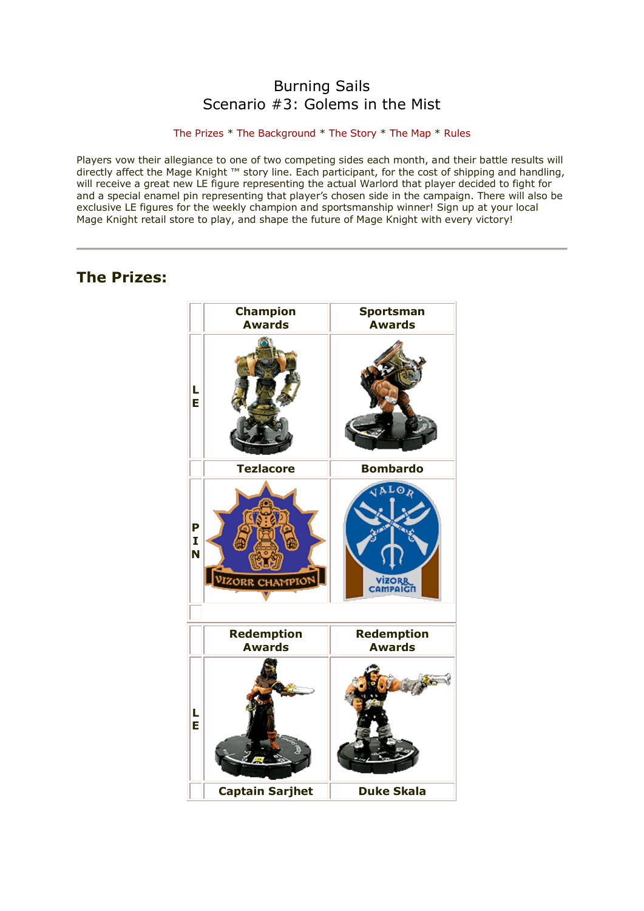# Burning Sails Scenario #3: Golems in the Mist

# [The Prizes](http://www.wizkidsgames.com/mageknight/article.asp?cid=37148&frame=Talesfromtheland#prizes#prizes) \* [The Background](http://www.wizkidsgames.com/mageknight/article.asp?cid=37148&frame=Talesfromtheland#background#background) \* [The Story](http://www.wizkidsgames.com/mageknight/article.asp?cid=37148&frame=Talesfromtheland#story#story) \* [The Map](http://www.wizkidsgames.com/mageknight/article.asp?cid=37148&frame=Talesfromtheland#map#map) \* [Rules](http://www.wizkidsgames.com/mageknight/article.asp?cid=37148&frame=Talesfromtheland#week#week)

Players vow their allegiance to one of two competing sides each month, and their battle results will directly affect the Mage Knight ™ story line. Each participant, for the cost of shipping and handling, will receive a great new LE figure representing the actual Warlord that player decided to fight for and a special enamel pin representing that player's chosen side in the campaign. There will also be exclusive LE figures for the weekly champion and sportsmanship winner! Sign up at your local Mage Knight retail store to play, and shape the future of Mage Knight with every victory!

# **The Prizes:**

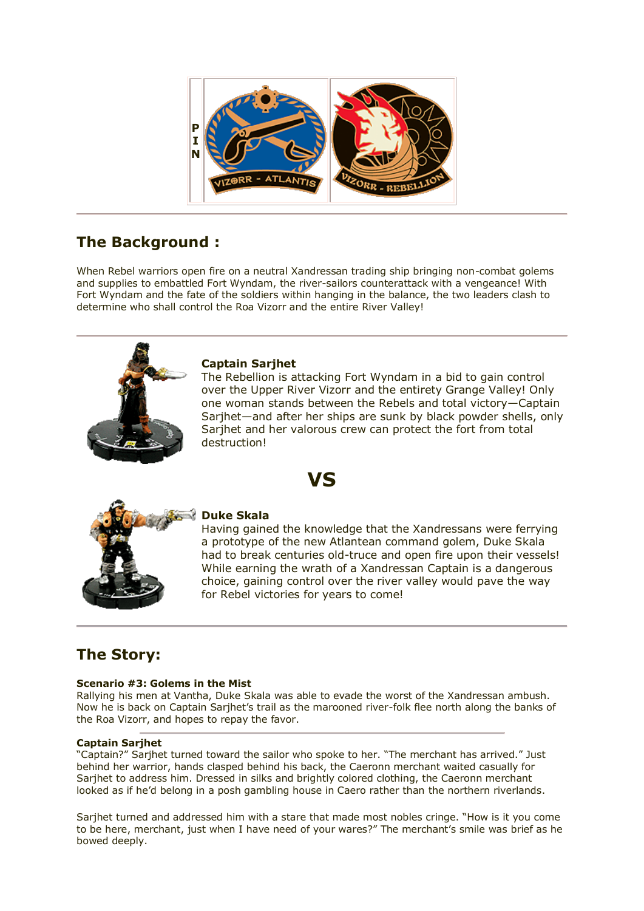

# **The Background :**

When Rebel warriors open fire on a neutral Xandressan trading ship bringing non-combat golems and supplies to embattled Fort Wyndam, the river-sailors counterattack with a vengeance! With Fort Wyndam and the fate of the soldiers within hanging in the balance, the two leaders clash to determine who shall control the Roa Vizorr and the entire River Valley!



# **Captain Sarjhet**

The Rebellion is attacking Fort Wyndam in a bid to gain control over the Upper River Vizorr and the entirety Grange Valley! Only one woman stands between the Rebels and total victory—Captain Sarihet—and after her ships are sunk by black powder shells, only Sarjhet and her valorous crew can protect the fort from total destruction!





# **Duke Skala**

Having gained the knowledge that the Xandressans were ferrying a prototype of the new Atlantean command golem, Duke Skala had to break centuries old-truce and open fire upon their vessels! While earning the wrath of a Xandressan Captain is a dangerous choice, gaining control over the river valley would pave the way for Rebel victories for years to come!

# **The Story:**

# **Scenario #3: Golems in the Mist**

Rallying his men at Vantha, Duke Skala was able to evade the worst of the Xandressan ambush. Now he is back on Captain Sarjhet's trail as the marooned river-folk flee north along the banks of the Roa Vizorr, and hopes to repay the favor.

# **Captain Sarjhet**

"Captain?" Sarjhet turned toward the sailor who spoke to her. "The merchant has arrived." Just behind her warrior, hands clasped behind his back, the Caeronn merchant waited casually for Sarjhet to address him. Dressed in silks and brightly colored clothing, the Caeronn merchant looked as if he'd belong in a posh gambling house in Caero rather than the northern riverlands.

Sarjhet turned and addressed him with a stare that made most nobles cringe. "How is it you come to be here, merchant, just when I have need of your wares?" The merchant's smile was brief as he bowed deeply.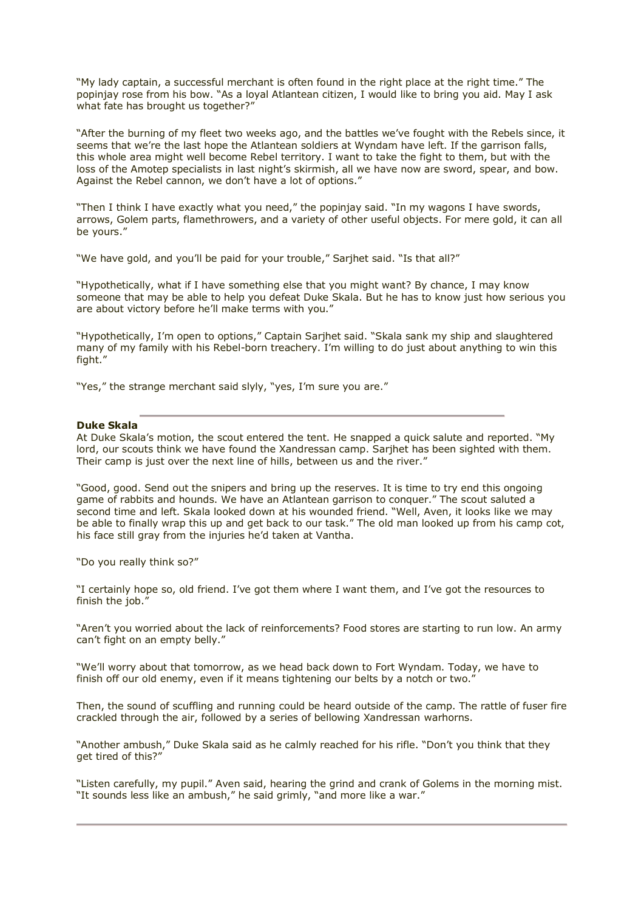"My lady captain, a successful merchant is often found in the right place at the right time." The popinjay rose from his bow. "As a loyal Atlantean citizen, I would like to bring you aid. May I ask what fate has brought us together?"

"After the burning of my fleet two weeks ago, and the battles we've fought with the Rebels since, it seems that we're the last hope the Atlantean soldiers at Wyndam have left. If the garrison falls, this whole area might well become Rebel territory. I want to take the fight to them, but with the loss of the Amotep specialists in last night's skirmish, all we have now are sword, spear, and bow. Against the Rebel cannon, we don't have a lot of options."

"Then I think I have exactly what you need," the popinjay said. "In my wagons I have swords, arrows, Golem parts, flamethrowers, and a variety of other useful objects. For mere gold, it can all be yours."

"We have gold, and you'll be paid for your trouble," Sarjhet said. "Is that all?"

"Hypothetically, what if I have something else that you might want? By chance, I may know someone that may be able to help you defeat Duke Skala. But he has to know just how serious you are about victory before he'll make terms with you.'

"Hypothetically, I'm open to options," Captain Sarjhet said. "Skala sank my ship and slaughtered many of my family with his Rebel-born treachery. I'm willing to do just about anything to win this fight."

"Yes," the strange merchant said slyly, "yes, I'm sure you are."

## **Duke Skala**

At Duke Skala's motion, the scout entered the tent. He snapped a quick salute and reported. "My lord, our scouts think we have found the Xandressan camp. Sarjhet has been sighted with them. Their camp is just over the next line of hills, between us and the river."

"Good, good. Send out the snipers and bring up the reserves. It is time to try end this ongoing game of rabbits and hounds. We have an Atlantean garrison to conquer." The scout saluted a second time and left. Skala looked down at his wounded friend. "Well, Aven, it looks like we may be able to finally wrap this up and get back to our task." The old man looked up from his camp cot, his face still gray from the injuries he'd taken at Vantha.

"Do you really think so?"

"I certainly hope so, old friend. I've got them where I want them, and I've got the resources to finish the job.'

"Aren't you worried about the lack of reinforcements? Food stores are starting to run low. An army can't fight on an empty belly."

"We'll worry about that tomorrow, as we head back down to Fort Wyndam. Today, we have to finish off our old enemy, even if it means tightening our belts by a notch or two.

Then, the sound of scuffling and running could be heard outside of the camp. The rattle of fuser fire crackled through the air, followed by a series of bellowing Xandressan warhorns.

"Another ambush," Duke Skala said as he calmly reached for his rifle. "Don't you think that they get tired of this?"

"Listen carefully, my pupil." Aven said, hearing the grind and crank of Golems in the morning mist. "It sounds less like an ambush," he said grimly, "and more like a war."